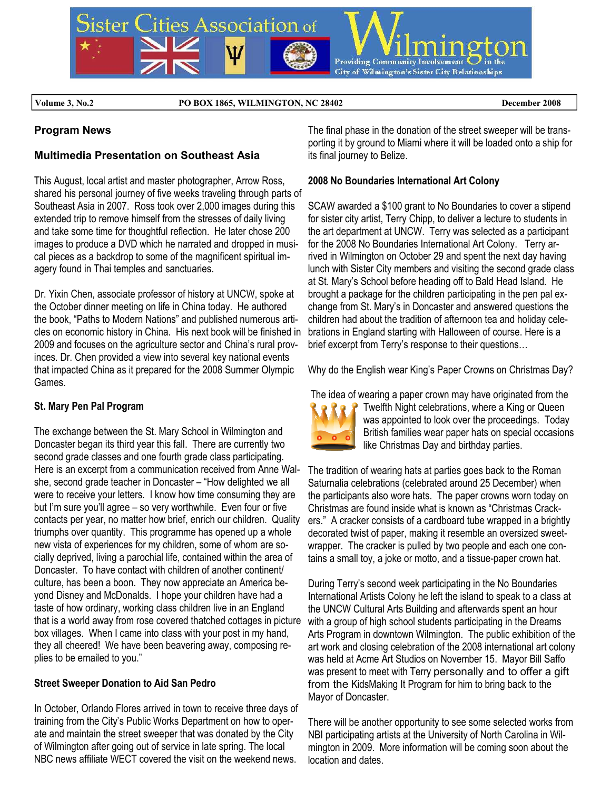

**Volume 3, No.2 PO BOX 1865, WILMINGTON, NC 28402 December 2008** 

# **Program News**

# **Multimedia Presentation on Southeast Asia**

This August, local artist and master photographer, Arrow Ross, shared his personal journey of five weeks traveling through parts of Southeast Asia in 2007. Ross took over 2,000 images during this extended trip to remove himself from the stresses of daily living and take some time for thoughtful reflection. He later chose 200 images to produce a DVD which he narrated and dropped in musical pieces as a backdrop to some of the magnificent spiritual imagery found in Thai temples and sanctuaries.

Dr. Yixin Chen, associate professor of history at UNCW, spoke at the October dinner meeting on life in China today. He authored the book, "Paths to Modern Nations" and published numerous articles on economic history in China. His next book will be finished in 2009 and focuses on the agriculture sector and China's rural provinces. Dr. Chen provided a view into several key national events that impacted China as it prepared for the 2008 Summer Olympic Games.

# **St. Mary Pen Pal Program**

The exchange between the St. Mary School in Wilmington and Doncaster began its third year this fall. There are currently two second grade classes and one fourth grade class participating. Here is an excerpt from a communication received from Anne Walshe, second grade teacher in Doncaster – "How delighted we all were to receive your letters. I know how time consuming they are but I'm sure you'll agree – so very worthwhile. Even four or five contacts per year, no matter how brief, enrich our children. Quality triumphs over quantity. This programme has opened up a whole new vista of experiences for my children, some of whom are socially deprived, living a parochial life, contained within the area of Doncaster. To have contact with children of another continent/ culture, has been a boon. They now appreciate an America beyond Disney and McDonalds. I hope your children have had a taste of how ordinary, working class children live in an England that is a world away from rose covered thatched cottages in picture box villages. When I came into class with your post in my hand, they all cheered! We have been beavering away, composing replies to be emailed to you."

### **Street Sweeper Donation to Aid San Pedro**

In October, Orlando Flores arrived in town to receive three days of training from the City's Public Works Department on how to operate and maintain the street sweeper that was donated by the City of Wilmington after going out of service in late spring. The local NBC news affiliate WECT covered the visit on the weekend news.

The final phase in the donation of the street sweeper will be transporting it by ground to Miami where it will be loaded onto a ship for its final journey to Belize.

# **2008 No Boundaries International Art Colony**

SCAW awarded a \$100 grant to No Boundaries to cover a stipend for sister city artist, Terry Chipp, to deliver a lecture to students in the art department at UNCW. Terry was selected as a participant for the 2008 No Boundaries International Art Colony. Terry arrived in Wilmington on October 29 and spent the next day having lunch with Sister City members and visiting the second grade class at St. Mary's School before heading off to Bald Head Island. He brought a package for the children participating in the pen pal exchange from St. Mary's in Doncaster and answered questions the children had about the tradition of afternoon tea and holiday celebrations in England starting with Halloween of course. Here is a brief excerpt from Terry's response to their questions…

Why do the English wear King's Paper Crowns on Christmas Day?



 The idea of wearing a paper crown may have originated from the Twelfth Night celebrations, where a King or Queen was appointed to look over the proceedings. Today British families wear paper hats on special occasions like Christmas Day and birthday parties.

The tradition of wearing hats at parties goes back to the Roman Saturnalia celebrations (celebrated around 25 December) when the participants also wore hats. The paper crowns worn today on Christmas are found inside what is known as "Christmas Crackers." A cracker consists of a cardboard tube wrapped in a brightly decorated twist of paper, making it resemble an oversized sweetwrapper. The cracker is pulled by two people and each one contains a small toy, a joke or motto, and a tissue-paper crown hat.

During Terry's second week participating in the No Boundaries International Artists Colony he left the island to speak to a class at the UNCW Cultural Arts Building and afterwards spent an hour with a group of high school students participating in the Dreams Arts Program in downtown Wilmington. The public exhibition of the art work and closing celebration of the 2008 international art colony was held at Acme Art Studios on November 15. Mayor Bill Saffo was present to meet with Terry personally and to offer a gift from the KidsMaking It Program for him to bring back to the Mayor of Doncaster.

There will be another opportunity to see some selected works from NBI participating artists at the University of North Carolina in Wilmington in 2009. More information will be coming soon about the location and dates.